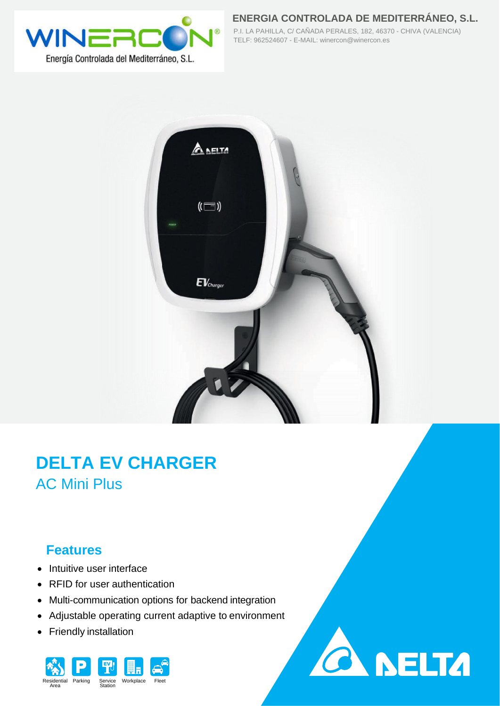

**ENERGIA CONTROLADA DE MEDITERRÁNEO, S.L.** P.I. LA PAHILLA, C/ CAÑADA PERALES, 182, 46370 - CHIVA (VALENCIA) TELF: 962524607 - E-MAIL: winercon@winercon.es



## **DELTA EV CHARGER** AC Mini Plus

## **Features**

- Intuitive user interface
- RFID for user authentication
- Multi-communication options for backend integration
- Adjustable operating current adaptive to environment
- Friendly installation